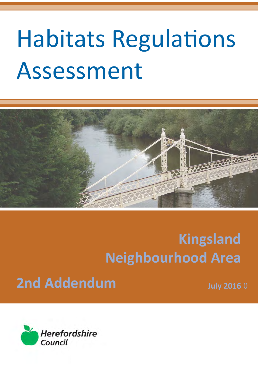## Habitats Regulations Assessment



### **Kingsland Neighbourhood Area**

### **2nd Addendum**

**July 2016** 0

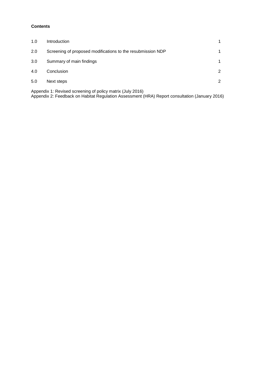#### **Contents**

| 1.0 | Introduction                                                |   |
|-----|-------------------------------------------------------------|---|
| 2.0 | Screening of proposed modifications to the resubmission NDP | 1 |
| 3.0 | Summary of main findings                                    | 1 |
| 4.0 | Conclusion                                                  | 2 |
| 5.0 | Next steps                                                  | 2 |
|     |                                                             |   |

Appendix 1: Revised screening of policy matrix (July 2016) Appendix 2: Feedback on Habitat Regulation Assessment (HRA) Report consultation (January 2016)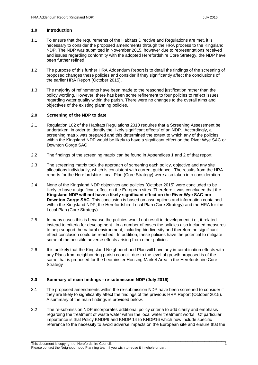#### **1.0 Introduction**

 1.1 To ensure that the requirements of the Habitats Directive and Regulations are met, it is necessary to consider the proposed amendments through the HRA process to the Kingsland NDP. The NDP was submitted in November 2015, however due to representations received and issues regarding conformity with the adopted Herefordshire Core Strategy, the NDP have been further refined.

\_\_\_\_\_\_\_\_\_\_\_\_\_\_\_\_\_\_\_\_\_\_\_\_\_\_\_\_\_\_\_\_\_\_\_\_\_\_\_\_\_\_\_\_\_\_\_\_\_\_\_\_\_\_\_\_\_\_\_\_\_\_\_\_\_\_\_\_\_\_\_\_\_\_\_\_\_\_\_\_\_\_\_\_\_\_\_\_\_\_\_\_\_\_\_\_\_\_\_\_\_

- 1.2 The purpose of this further HRA Addendum Report is to detail the findings of the screening of proposed changes these policies and consider if they significantly affect the conclusions of the earlier HRA Report (October 2015).
- $1.3$  policy wording. However, there has been some refinement to four policies to reflect issues regarding water quality within the parish. There were no changes to the overall aims and The majority of refinements have been made to the reasoned justification rather than the objectives of the existing planning policies.

#### **2.0 Screening of the NDP to date**

- 2.1 Regulation 102 of the Habitats Regulations 2010 requires that a Screening Assessment be undertaken, in order to identify the 'likely significant effects' of an NDP. Accordingly, a screening matrix was prepared and this determined the extent to which any of the policies within the Kingsland NDP would be likely to have a significant effect on the River Wye SAC or Downton Gorge SAC
- 2.2 The findings of the screening matrix can be found in Appendices 1 and 2 of that report.
- 2.3 The screening matrix took the approach of screening each policy, objective and any site allocations individually, which is consistent with current guidance. The results from the HRA reports for the Herefordshire Local Plan (Core Strategy) were also taken into consideration.
- 2.4 None of the Kingsland NDP objectives and policies (October 2015) were concluded to be likely to have a significant effect on the European sites. Therefore it was concluded that the  **Kingsland NDP will not have a likely significant effect on the River Wye SAC nor Downton Gorge SAC**. This conclusion is based on assumptions and information contained within the Kingsland NDP, the Herefordshire Local Plan (Core Strategy) and the HRA for the Local Plan (Core Strategy).
- 2.5 In many cases this is because the policies would not result in development, i.e., it related instead to criteria for development. In a number of cases the policies also included measures to help support the natural environment, including biodiversity and therefore no significant effect conclusion could be reached. In addition, these policies have the potential to mitigate some of the possible adverse effects arising from other policies.
- $2.6$  any Plans from neighbouring parish council due to the level of growth proposed is of the same that is proposed for the Leominster Housing Market Area in the Herefordshire Core It is unlikely that the Kingsland Neighbourhood Plan will have any in-combination effects with **Strategy**

#### **3.0 Summary of main findings - re-submission NDP (July 2016)**

- 3.1 The proposed amendments within the re-submission NDP have been screened to consider if they are likely to significantly affect the findings of the previous HRA Report (October 2015). A summary of the main findings is provided below.
- 3.2 The re-submission NDP incorporates additional policy criteria to add clarity and emphasis regarding the treatment of waste water within the local water treatment works. Of particular importance is that Policy KNDP9 and KNDP 14 to KNDP16 which now include specific reference to the necessity to avoid adverse impacts on the European site and ensure that the

\_\_\_\_\_\_\_\_\_\_\_\_\_\_\_\_\_\_\_\_\_\_\_\_\_\_\_\_\_\_\_\_\_\_\_\_\_\_\_\_\_\_\_\_\_\_\_\_\_\_\_\_\_\_\_\_\_\_\_\_\_\_\_\_\_\_\_\_\_\_\_\_\_\_\_\_\_\_\_\_\_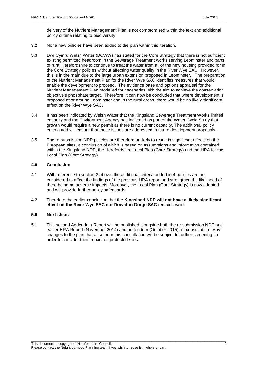\_\_\_\_\_\_\_\_\_\_\_\_\_\_\_\_\_\_\_\_\_\_\_\_\_\_\_\_\_\_\_\_\_\_\_\_\_\_\_\_\_\_\_\_\_\_\_\_\_\_\_\_\_\_\_\_\_\_\_\_\_\_\_\_\_\_\_\_\_\_\_\_\_\_\_\_\_\_\_\_\_\_\_\_\_\_\_\_\_\_\_\_\_\_\_\_\_\_\_\_\_

- 3.2 None new policies have been added to the plan within this iteration.
- 3.3 Dwr Cymru Welsh Water (DCWW) has stated for the Core Strategy that there is not sufficient existing permitted headroom in the Sewerage Treatment works serving Leominster and parts of rural Herefordshire to continue to treat the water from all of the new housing provided for in the Core Strategy policies without affecting water quality in the River Wye SAC. However, this is in the main due to the large urban extension proposed in Leominster. The preparation of the Nutrient Management Plan for the River Wye SAC identifies measures that would enable the development to proceed. The evidence base and options appraisal for the Nutrient Management Plan modelled four scenarios with the aim to achieve the conservation objective's phosphate target. Therefore, it can now be concluded that where development is proposed at or around Leominster and in the rural areas, there would be no likely significant effect on the River Wye SAC.
- 3.4 It has been indicated by Welsh Water that the Kingsland Sewerage Treatment Works limited capacity and the Environment Agency has indicated as part of the Water Cycle Study that growth would require a new permit as there is no current capacity. The additional policy criteria add will ensure that these issues are addressed in future development proposals.
- 3.5 The re-submission NDP policies are therefore unlikely to result in significant effects on the European sites, a conclusion of which is based on assumptions and information contained within the Kingsland NDP, the Herefordshire Local Plan (Core Strategy) and the HRA for the Local Plan (Core Strategy).

#### **4.0 Conclusion**

- considered to affect the findings of the previous HRA report and strengthen the likelihood of there being no adverse impacts. Moreover, the Local Plan (Core Strategy) is now adopted and will provide further policy safeguards. 4.1 With reference to section 3 above, the additional criteria added to 4 policies are not
- 4.2 Therefore the earlier conclusion that the **Kingsland NDP will not have a likely significant effect on the River Wye SAC nor Downton Gorge SAC** remains valid.

#### **5.0 Next steps**

5.1 This second Addendum Report will be published alongside both the re-submission NDP and earlier HRA Report (November 2014) and addendum (October 2015) for consultation. Any changes to the plan that arise from this consultation will be subject to further screening, in order to consider their impact on protected sites.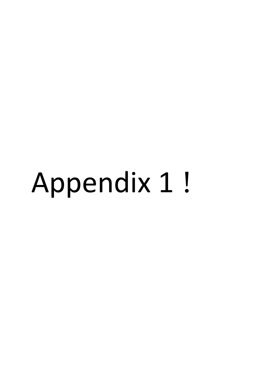# Appendix 1 !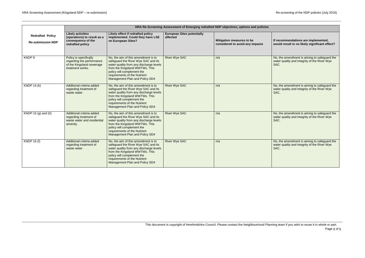\_\_\_\_\_\_\_\_\_\_\_\_\_\_\_\_\_\_\_\_\_\_\_\_\_\_\_\_\_\_\_\_\_\_\_\_\_\_\_\_\_\_\_\_\_\_\_\_\_\_\_\_\_\_\_\_\_\_\_\_\_\_\_\_\_\_\_\_\_\_\_\_\_\_\_\_\_\_\_\_\_\_\_\_\_\_\_\_\_\_\_\_\_\_\_\_\_\_\_\_\_\_\_\_\_\_\_\_\_\_\_\_\_\_\_\_\_\_\_\_\_\_\_\_\_\_\_\_\_\_\_\_\_\_\_\_\_\_\_\_\_\_\_\_\_\_\_\_\_\_\_\_\_\_\_\_\_\_\_\_\_\_\_\_\_\_\_\_\_\_\_\_\_\_\_\_\_\_\_\_\_\_\_\_\_\_\_

\_\_\_\_\_\_\_\_\_\_\_\_\_\_\_\_\_\_\_\_\_\_\_\_\_\_\_\_\_\_\_\_\_\_\_\_\_\_\_\_\_\_\_\_\_\_\_\_\_\_\_\_\_\_\_\_\_\_\_\_\_\_\_\_\_\_\_\_\_\_\_\_\_\_\_\_\_\_\_\_\_\_\_\_\_\_\_\_\_\_\_\_\_\_\_\_\_\_\_\_\_\_\_\_\_\_\_\_\_\_\_\_\_\_\_\_\_\_\_\_\_\_\_\_\_\_\_\_\_\_\_\_\_\_\_\_\_\_\_\_\_\_\_\_\_\_\_\_\_\_\_\_\_\_\_\_\_\_\_\_\_\_\_\_\_\_\_\_\_\_\_\_\_\_\_\_\_\_\_\_\_\_\_\_\_\_\_\_

| If recommendations are implemented,<br>would result in no likely significant effect?                 |
|------------------------------------------------------------------------------------------------------|
| No, the amendment is aiming to safeguard the<br>water quality and integrity of the River Wye<br>SAC. |
| No, the amendment is aiming to safeguard the<br>water quality and integrity of the River Wye<br>SAC. |
| No, the amendment is aiming to safeguard the<br>water quality and integrity of the River Wye<br>SAC. |
| No, the amendment is aiming to safeguard the<br>water quality and integrity of the River Wye<br>SAC. |

|                                                     | HRA Re-Screening Assessment of Emerging redrafted NDP objectives, options and policies               |                                                                                                                                                                                                                                                         |                                               |                                                              |                                                                                                      |  |
|-----------------------------------------------------|------------------------------------------------------------------------------------------------------|---------------------------------------------------------------------------------------------------------------------------------------------------------------------------------------------------------------------------------------------------------|-----------------------------------------------|--------------------------------------------------------------|------------------------------------------------------------------------------------------------------|--|
| <b>Redrafted Policy</b><br><b>Re-submission NDP</b> | <b>Likely activities</b><br>(operations) to result as a<br>consequence of the<br>redrafted policy    | Likely effect if redrafted policy<br>implemented. Could they have LSE<br>on European Sites?                                                                                                                                                             | <b>European Sites potentially</b><br>affected | Mitigation measures to be<br>considered to avoid any impacts | If recommendations are implemented,<br>would result in no likely significant effect?                 |  |
| KNDP 9                                              | Policy is specifically<br>regarding the performance<br>of the Kingsland sewerage<br>treatment works. | No, the aim of this amendment is to<br>safeguard the River Wye SAC and its<br>water quality from any discharge levels<br>from the Kingsland WWTWs. This<br>policy will complement the<br>requirements of the Nutrient<br>Management Plan and Policy SD4 | <b>River Wye SAC</b>                          | n/a                                                          | No, the amendment is aiming to safeguard the<br>water quality and integrity of the River Wye<br>SAC. |  |
| KNDP $14(k)$                                        | Additional criteria added<br>regarding treatment of<br>waste water                                   | No, the aim of this amendment is to<br>safeguard the River Wye SAC and its<br>water quality from any discharge levels<br>from the Kingsland WWTWs. This<br>policy will complement the<br>requirements of the Nutrient<br>Management Plan and Policy SD4 | <b>River Wye SAC</b>                          | n/a                                                          | No, the amendment is aiming to safeguard the<br>water quality and integrity of the River Wye<br>SAC. |  |
| KNDP 15 $(g)$ and $(h)$                             | Additional criteria added<br>regarding treatment of<br>waste water and residential<br>amenity        | No, the aim of this amendment is to<br>safeguard the River Wye SAC and its<br>water quality from any discharge levels<br>from the Kingsland WWTWs. This<br>policy will complement the<br>requirements of the Nutrient<br>Management Plan and Policy SD4 | <b>River Wye SAC</b>                          | n/a                                                          | No, the amendment is aiming to safeguard the<br>water quality and integrity of the River Wye<br>SAC. |  |
| <b>KNDP 16 (f)</b>                                  | Additional criteria added<br>regarding treatment of<br>waste water                                   | No, the aim of this amendment is to<br>safeguard the River Wye SAC and its<br>water quality from any discharge levels<br>from the Kingsland WWTWs. This<br>policy will complement the<br>requirements of the Nutrient<br>Management Plan and Policy SD4 | <b>River Wye SAC</b>                          | n/a                                                          | No, the amendment is aiming to safeguard the<br>water quality and integrity of the River Wye<br>SAC. |  |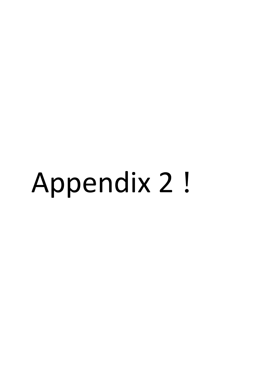## Appendix 2 !